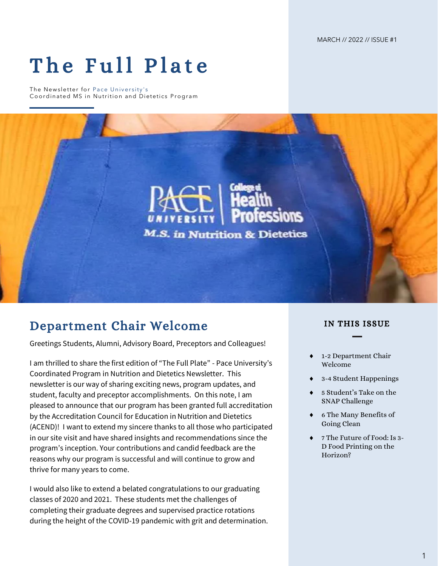MARCH // 2022 // ISSUE #1

# The Full Plate

The Newsletter for Pace University's Coordinated MS in Nutrition and Dietetics Program



### Department Chair Welcome

Greetings Students, Alumni, Advisory Board, Preceptors and Colleagues!

I am thrilled to share the first edition of "The Full Plate" - Pace University's Coordinated Program in Nutrition and Dietetics Newsletter. This newsletter is our way of sharing exciting news, program updates, and student, faculty and preceptor accomplishments. On this note, I am pleased to announce that our program has been granted full accreditation by the Accreditation Council for Education in Nutrition and Dietetics (ACEND)! I want to extend my sincere thanks to all those who participated in our site visit and have shared insights and recommendations since the program's inception. Your contributions and candid feedback are the reasons why our program is successful and will continue to grow and thrive for many years to come.

I would also like to extend a belated congratulations to our graduating classes of 2020 and 2021. These students met the challenges of completing their graduate degrees and supervised practice rotations during the height of the COVID-19 pandemic with grit and determination.

#### IN THIS ISSUE

- 1-2 Department Chair Welcome
- 3-4 Student Happenings
- 5 Student's Take on the SNAP Challenge
- 6 The Many Benefits of Going Clean
- 7 The Future of Food: Is 3- D Food Printing on the Horizon?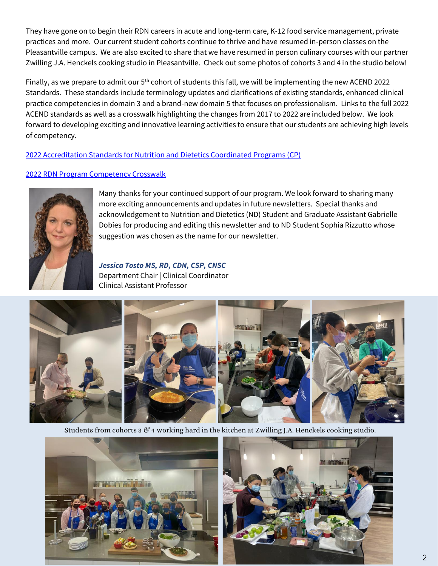They have gone on to begin their RDN careers in acute and long-term care, K-12 food service management, private practices and more. Our current student cohorts continue to thrive and have resumed in-person classes on the Pleasantville campus. We are also excited to share that we have resumed in person culinary courses with our partner Zwilling J.A. Henckels cooking studio in Pleasantville. Check out some photos of cohorts 3 and 4 in the studio below!

Finally, as we prepare to admit our 5<sup>th</sup> cohort of students this fall, we will be implementing the new ACEND 2022 Standards. These standards include terminology updates and clarifications of existing standards, enhanced clinical practice competencies in domain 3 and a brand-new domain 5 that focuses on professionalism. Links to the full 2022 ACEND standards as well as a crosswalk highlighting the changes from 2017 to 2022 are included below. We look forward to developing exciting and innovative learning activities to ensure that our students are achieving high levels of competency.

#### [2022 Accreditation Standards for Nutrition and Dietetics Coordinated Programs \(CP\)](https://www.eatrightpro.org/-/media/eatrightpro-files/acend/accreditation-standards/2022standardscp-82021.pdf?la=en&hash=589269482800D31D949A92D7A3C43800B7D06EAD)

#### [2022 RDN Program Competency Crosswalk](https://www.eatrightpro.org/-/media/eatrightpro-files/acend/accreditation-standards/2022-2017-rdn-program-competency-crosswalk2.pdf?la=en&hash=7B3249944DDFBD65EA931552652C2E678E9FEF6B)



Many thanks for your continued support of our program. We look forward to sharing many more exciting announcements and updates in future newsletters. Special thanks and acknowledgement to Nutrition and Dietetics (ND) Student and Graduate Assistant Gabrielle Dobies for producing and editing this newsletter and to ND Student Sophia Rizzutto whose suggestion was chosen as the name for our newsletter.

*Jessica Tosto MS, RD, CDN, CSP, CNSC* Department Chair | Clinical Coordinator Clinical Assistant Professor



Students from cohorts 3 & 4 working hard in the kitchen at Zwilling J.A. Henckels cooking studio.



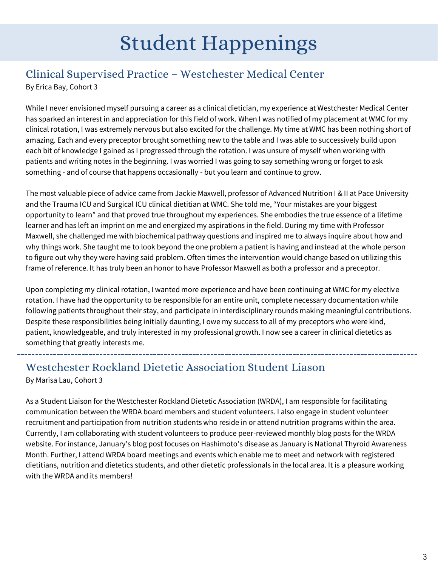## Student Happenings

## Clinical Supervised Practice – Westchester Medical Center

By Erica Bay, Cohort 3

While I never envisioned myself pursuing a career as a clinical dietician, my experience at Westchester Medical Center has sparked an interest in and appreciation for this field of work. When I was notified of my placement at WMC for my clinical rotation, I was extremely nervous but also excited for the challenge. My time at WMC has been nothing short of amazing. Each and every preceptor brought something new to the table and I was able to successively build upon each bit of knowledge I gained as I progressed through the rotation. I was unsure of myself when working with patients and writing notes in the beginning. I was worried I was going to say something wrong or forget to ask something - and of course that happens occasionally - but you learn and continue to grow.

The most valuable piece of advice came from Jackie Maxwell, professor of Advanced Nutrition I & II at Pace University and the Trauma ICU and Surgical ICU clinical dietitian at WMC. She told me, "Your mistakes are your biggest opportunity to learn" and that proved true throughout my experiences. She embodies the true essence of a lifetime learner and has left an imprint on me and energized my aspirations in the field. During my time with Professor Maxwell, she challenged me with biochemical pathway questions and inspired me to always inquire about how and why things work. She taught me to look beyond the one problem a patient is having and instead at the whole person to figure out why they were having said problem. Often times the intervention would change based on utilizing this frame of reference. It has truly been an honor to have Professor Maxwell as both a professor and a preceptor.

Upon completing my clinical rotation, I wanted more experience and have been continuing at WMC for my elective rotation. I have had the opportunity to be responsible for an entire unit, complete necessary documentation while following patients throughout their stay, and participate in interdisciplinary rounds making meaningful contributions. Despite these responsibilities being initially daunting, I owe my success to all of my preceptors who were kind, patient, knowledgeable, and truly interested in my professional growth. I now see a career in clinical dietetics as something that greatly interests me.

### Westchester Rockland Dietetic Association Student Liason

By Marisa Lau, Cohort 3

As a Student Liaison for the Westchester Rockland Dietetic Association (WRDA), I am responsible for facilitating communication between the WRDA board members and student volunteers. I also engage in student volunteer recruitment and participation from nutrition students who reside in or attend nutrition programs within the area. Currently, I am collaborating with student volunteers to produce peer-reviewed monthly blog posts for the WRDA website. For instance, January's blog post focuses on Hashimoto's disease as January is National Thyroid Awareness Month. Further, I attend WRDA board meetings and events which enable me to meet and network with registered dietitians, nutrition and dietetics students, and other dietetic professionals in the local area. It is a pleasure working with the WRDA and its members!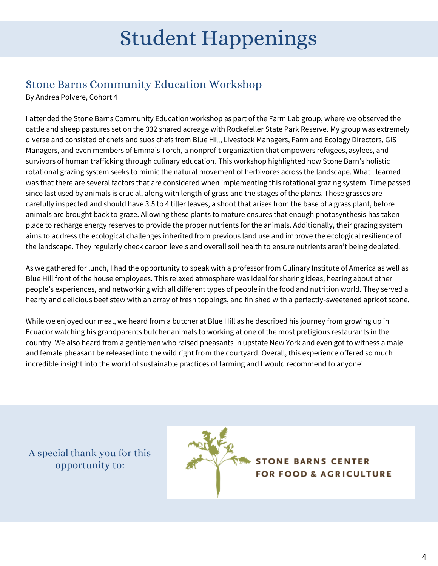## Student Happenings

### Stone Barns Community Education Workshop

By Andrea Polvere, Cohort 4

I attended the Stone Barns Community Education workshop as part of the Farm Lab group, where we observed the cattle and sheep pastures set on the 332 shared acreage with Rockefeller State Park Reserve. My group was extremely diverse and consisted of chefs and suos chefs from Blue Hill, Livestock Managers, Farm and Ecology Directors, GIS Managers, and even members of Emma's Torch, a nonprofit organization that empowers refugees, asylees, and survivors of human trafficking through culinary education. This workshop highlighted how Stone Barn's holistic rotational grazing system seeks to mimic the natural movement of herbivores across the landscape. What I learned was that there are several factors that are considered when implementing this rotational grazing system. Time passed since last used by animals is crucial, along with length of grass and the stages of the plants. These grasses are carefully inspected and should have 3.5 to 4 tiller leaves, a shoot that arises from the base of a grass plant, before animals are brought back to graze. Allowing these plants to mature ensures that enough photosynthesis has taken place to recharge energy reserves to provide the proper nutrients for the animals. Additionally, their grazing system aims to address the ecological challenges inherited from previous land use and improve the ecological resilience of the landscape. They regularly check carbon levels and overall soil health to ensure nutrients aren't being depleted.

As we gathered for lunch, I had the opportunity to speak with a professor from Culinary Institute of America as well as Blue Hill front of the house employees. This relaxed atmosphere was ideal for sharing ideas, hearing about other people's experiences, and networking with all different types of people in the food and nutrition world. They served a hearty and delicious beef stew with an array of fresh toppings, and finished with a perfectly-sweetened apricot scone.

While we enjoyed our meal, we heard from a butcher at Blue Hill as he described his journey from growing up in Ecuador watching his grandparents butcher animals to working at one of the most pretigious restaurants in the country. We also heard from a gentlemen who raised pheasants in upstate New York and even got to witness a male and female pheasant be released into the wild right from the courtyard. Overall, this experience offered so much incredible insight into the world of sustainable practices of farming and I would recommend to anyone!

A special thank you for this opportunity to:



**STONE BARNS CENTER FOR FOOD & AGRICULTURE**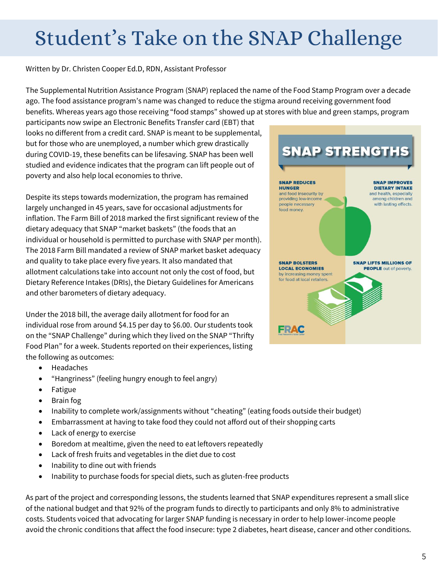# Student's Take on the SNAP Challenge

Written by Dr. Christen Cooper Ed.D, RDN, Assistant Professor

The Supplemental Nutrition Assistance Program (SNAP) replaced the name of the Food Stamp Program over a decade ago. The food assistance program's name was changed to reduce the stigma around receiving government food benefits. Whereas years ago those receiving "food stamps" showed up at stores with blue and green stamps, program

participants now swipe an Electronic Benefits Transfer card (EBT) that looks no different from a credit card. SNAP is meant to be supplemental, but for those who are unemployed, a number which grew drastically during COVID-19, these benefits can be lifesaving. SNAP has been well studied and evidence indicates that the program can lift people out of poverty and also help local economies to thrive.

Despite its steps towards modernization, the program has remained largely unchanged in 45 years, save for occasional adjustments for inflation. The Farm Bill of 2018 marked the first significant review of the dietary adequacy that SNAP "market baskets" (the foods that an individual or household is permitted to purchase with SNAP per month). The 2018 Farm Bill mandated a review of SNAP market basket adequacy and quality to take place every five years. It also mandated that allotment calculations take into account not only the cost of food, but Dietary Reference Intakes (DRIs), the Dietary Guidelines for Americans and other barometers of dietary adequacy.

Under the 2018 bill, the average daily allotment for food for an individual rose from around \$4.15 per day to \$6.00. Our students took on the "SNAP Challenge" during which they lived on the SNAP "Thrifty Food Plan" for a week. Students reported on their experiences, listing the following as outcomes:

- Headaches
- "Hangriness" (feeling hungry enough to feel angry)
- Fatigue
- Brain fog
- Inability to complete work/assignments without "cheating" (eating foods outside their budget)
- Embarrassment at having to take food they could not afford out of their shopping carts
- Lack of energy to exercise
- Boredom at mealtime, given the need to eat leftovers repeatedly
- Lack of fresh fruits and vegetables in the diet due to cost
- Inability to dine out with friends
- Inability to purchase foods for special diets, such as gluten-free products

As part of the project and corresponding lessons, the students learned that SNAP expenditures represent a small slice of the national budget and that 92% of the program funds to directly to participants and only 8% to administrative costs. Students voiced that advocating for larger SNAP funding is necessary in order to help lower-income people avoid the chronic conditions that affect the food insecure: type 2 diabetes, heart disease, cancer and other conditions.

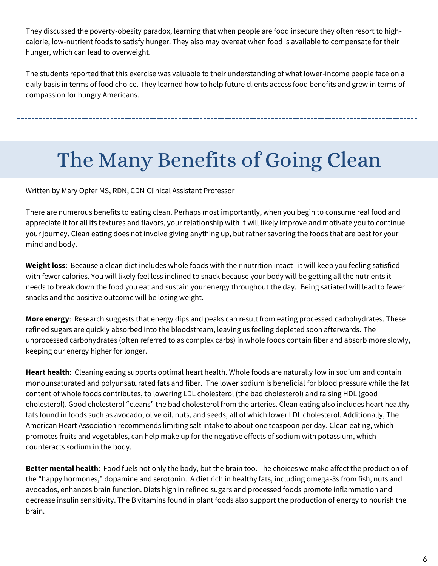They discussed the poverty-obesity paradox, learning that when people are food insecure they often resort to highcalorie, low-nutrient foods to satisfy hunger. They also may overeat when food is available to compensate for their hunger, which can lead to overweight.

The students reported that this exercise was valuable to their understanding of what lower-income people face on a daily basis in terms of food choice. They learned how to help future clients access food benefits and grew in terms of compassion for hungry Americans.

# The Many Benefits of Going Clean

Written by Mary Opfer MS, RDN, CDN Clinical Assistant Professor

There are numerous benefits to eating clean. Perhaps most importantly, when you begin to consume real food and appreciate it for all its textures and flavors, your relationship with it will likely improve and motivate you to continue your journey. Clean eating does not involve giving anything up, but rather savoring the foods that are best for your mind and body.

**Weight loss**: Because a clean diet includes whole foods with their nutrition intact--it will keep you feeling satisfied with fewer calories. You will likely feel less inclined to snack because your body will be getting all the nutrients it needs to break down the food you eat and sustain your energy throughout the day. Being satiated will lead to fewer snacks and the positive outcome will be losing weight.

**More energy**: Research suggests that energy dips and peaks can result from eating processed carbohydrates. These refined sugars are quickly absorbed into the bloodstream, leaving us feeling depleted soon afterwards. The unprocessed carbohydrates (often referred to as complex carbs) in whole foods contain fiber and absorb more slowly, keeping our energy higher for longer.

**Heart health**: Cleaning eating supports optimal heart health. Whole foods are naturally low in sodium and contain monounsaturated and polyunsaturated fats and fiber. The lower sodium is beneficial for blood pressure while the fat content of whole foods contributes, to lowering LDL cholesterol (the bad cholesterol) and raising HDL (good cholesterol). Good cholesterol "cleans" the bad cholesterol from the arteries. Clean eating also includes heart healthy fats found in foods such as avocado, olive oil, nuts, and seeds, all of which lower LDL cholesterol. Additionally, The American Heart Association recommends limiting salt intake to about one teaspoon per day. Clean eating, which promotes fruits and vegetables, can help make up for the negative effects of sodium with potassium, which counteracts sodium in the body.

**Better mental health**: Food fuels not only the body, but the brain too. The choices we make affect the production of the "happy hormones," dopamine and serotonin. A diet rich in healthy fats, including omega-3s from fish, nuts and avocados, enhances brain function. Diets high in refined sugars and processed foods promote inflammation and decrease insulin sensitivity. The B vitamins found in plant foods also support the production of energy to nourish the brain.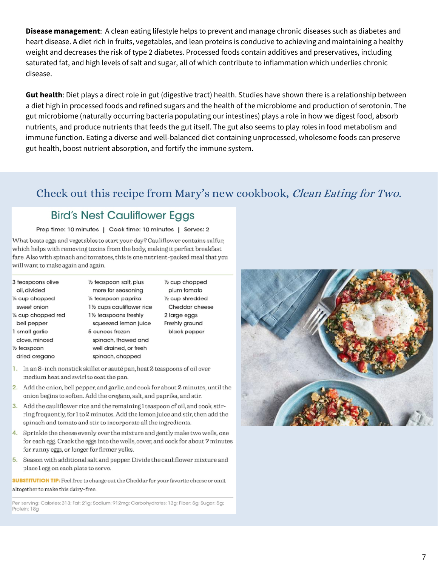**Disease management**: A clean eating lifestyle helps to prevent and manage chronic diseases such as diabetes and heart disease. A diet rich in fruits, vegetables, and lean proteins is conducive to achieving and maintaining a healthy weight and decreases the risk of type 2 diabetes. Processed foods contain additives and preservatives, including saturated fat, and high levels of salt and sugar, all of which contribute to inflammation which underlies chronic disease.

**Gut health**: Diet plays a direct role in gut (digestive tract) health. Studies have shown there is a relationship between a diet high in processed foods and refined sugars and the health of the microbiome and production of serotonin. The gut microbiome (naturally occurring bacteria populating our intestines) plays a role in how we digest food, absorb nutrients, and produce nutrients that feeds the gut itself. The gut also seems to play roles in food metabolism and immune function. Eating a diverse and well-balanced diet containing unprocessed, wholesome foods can preserve gut health, boost nutrient absorption, and fortify the immune system.

### Check out this recipe from Mary's new cookbook, Clean Eating for Two.

#### **Bird's Nest Cauliflower Eggs**

#### Prep time: 10 minutes | Cook time: 10 minutes | Serves: 2

What beats eggs and vegetables to start your day? Cauliflower contains sulfur, which helps with removing toxins from the body, making it perfect breakfast fare. Also with spinach and tomatoes, this is one nutrient-packed meal that you will want to make again and again.

| 3 teaspoons olive<br>oil, divided | 1/2 teaspoon salt, plus<br>more for seasoning | $\frac{1}{2}$ cup chopped<br>plum tomato |
|-----------------------------------|-----------------------------------------------|------------------------------------------|
| 1/4 cup chopped                   | 1/4 teaspoon paprika                          | $\frac{1}{2}$ cup shredded               |
| sweet onion                       | 11/2 cups cauliflower rice                    | Cheddar cheese                           |
| 1/4 cup chopped red               | 11/ <sub>2</sub> teaspoons freshly            | 2 large eggs                             |
| bell pepper                       | squeezed lemon juice                          | Freshly ground                           |
| 1 small garlic                    | 5 ounces frozen                               | black pepper                             |
| clove, minced                     | spinach, thawed and                           |                                          |
| $\frac{1}{2}$ teaspoon            | well drained, or fresh                        |                                          |
| dried oregano                     | spinach, chopped                              |                                          |
|                                   |                                               |                                          |

- 1. In an 8-inch nonstick skillet or sauté pan, heat 2 teaspoons of oil over medium heat and swirl to coat the pan.
- 2. Add the onion, bell pepper, and garlic, and cook for about 2 minutes, until the onion begins to soften. Add the oregano, salt, and paprika, and stir.
- 3. Add the cauliflower rice and the remaining 1 teaspoon of oil, and cook, stirring frequently, for 1 to 2 minutes. Add the lemon juice and stir, then add the spinach and tomato and stir to incorporate all the ingredients.
- 4. Sprinkle the cheese evenly over the mixture and gently make two wells, one for each egg. Crack the eggs into the wells, cover, and cook for about 7 minutes for runny eggs, or longer for firmer yolks.
- 5. Season with additional salt and pepper. Divide the cauliflower mixture and place 1 egg on each plate to serve.

**SUBSTITUTION TIP:** Feel free to change out the Cheddar for your favorite cheese or omit altogether to make this dairy-free.

Per serving: Calories: 313; Fat: 21g; Sodium: 912mg; Carbohydrates: 13g; Fiber: 5g; Sugar: 5g; Protein: 18g